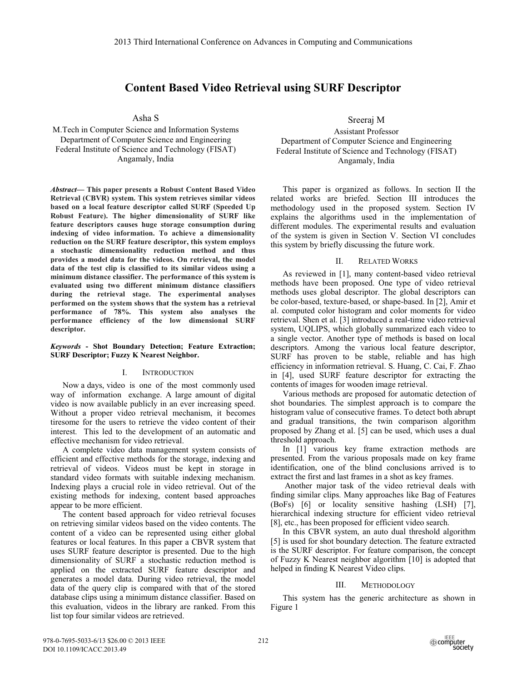# **Content Based Video Retrieval using SURF Descriptor**

Asha S

M.Tech in Computer Science and Information Systems Department of Computer Science and Engineering Federal Institute of Science and Technology (FISAT) Angamaly, India

*Abstract***— This paper presents a Robust Content Based Video Retrieval (CBVR) system. This system retrieves similar videos based on a local feature descriptor called SURF (Speeded Up Robust Feature). The higher dimensionality of SURF like feature descriptors causes huge storage consumption during indexing of video information. To achieve a dimensionality reduction on the SURF feature descriptor, this system employs a stochastic dimensionality reduction method and thus provides a model data for the videos. On retrieval, the model data of the test clip is classified to its similar videos using a minimum distance classifier. The performance of this system is evaluated using two different minimum distance classifiers during the retrieval stage. The experimental analyses performed on the system shows that the system has a retrieval performance of 78%. This system also analyses the performance efficiency of the low dimensional SURF descriptor.** 

## *Keywords* **- Shot Boundary Detection; Feature Extraction; SURF Descriptor; Fuzzy K Nearest Neighbor.**

## I. INTRODUCTION

Now a days, video is one of the most commonly used way of information exchange. A large amount of digital video is now available publicly in an ever increasing speed. Without a proper video retrieval mechanism, it becomes tiresome for the users to retrieve the video content of their interest. This led to the development of an automatic and effective mechanism for video retrieval.

A complete video data management system consists of efficient and effective methods for the storage, indexing and retrieval of videos. Videos must be kept in storage in standard video formats with suitable indexing mechanism. Indexing plays a crucial role in video retrieval. Out of the existing methods for indexing, content based approaches appear to be more efficient.

The content based approach for video retrieval focuses on retrieving similar videos based on the video contents. The content of a video can be represented using either global features or local features. In this paper a CBVR system that uses SURF feature descriptor is presented. Due to the high dimensionality of SURF a stochastic reduction method is applied on the extracted SURF feature descriptor and generates a model data. During video retrieval, the model data of the query clip is compared with that of the stored database clips using a minimum distance classifier. Based on this evaluation, videos in the library are ranked. From this list top four similar videos are retrieved.

Sreeraj M

Assistant Professor Department of Computer Science and Engineering Federal Institute of Science and Technology (FISAT) Angamaly, India

This paper is organized as follows. In section II the related works are briefed. Section III introduces the methodology used in the proposed system. Section IV explains the algorithms used in the implementation of different modules. The experimental results and evaluation of the system is given in Section V. Section VI concludes this system by briefly discussing the future work.

## II. RELATED WORKS

As reviewed in [1], many content-based video retrieval methods have been proposed. One type of video retrieval methods uses global descriptor. The global descriptors can be color-based, texture-based, or shape-based. In [2], Amir et al. computed color histogram and color moments for video retrieval. Shen et al. [3] introduced a real-time video retrieval system, UQLIPS, which globally summarized each video to a single vector. Another type of methods is based on local descriptors. Among the various local feature descriptor, SURF has proven to be stable, reliable and has high efficiency in information retrieval. S. Huang, C. Cai, F. Zhao in [4], used SURF feature descriptor for extracting the contents of images for wooden image retrieval.

Various methods are proposed for automatic detection of shot boundaries. The simplest approach is to compare the histogram value of consecutive frames. To detect both abrupt and gradual transitions, the twin comparison algorithm proposed by Zhang et al. [5] can be used, which uses a dual threshold approach.

In [1] various key frame extraction methods are presented. From the various proposals made on key frame identification, one of the blind conclusions arrived is to extract the first and last frames in a shot as key frames.

 Another major task of the video retrieval deals with finding similar clips. Many approaches like Bag of Features (BoFs) [6] or locality sensitive hashing (LSH) [7], hierarchical indexing structure for efficient video retrieval [8], etc., has been proposed for efficient video search.

In this CBVR system, an auto dual threshold algorithm [5] is used for shot boundary detection. The feature extracted is the SURF descriptor. For feature comparison, the concept of Fuzzy K Nearest neighbor algorithm [10] is adopted that helped in finding K Nearest Video clips.

## III. METHODOLOGY

This system has the generic architecture as shown in Figure 1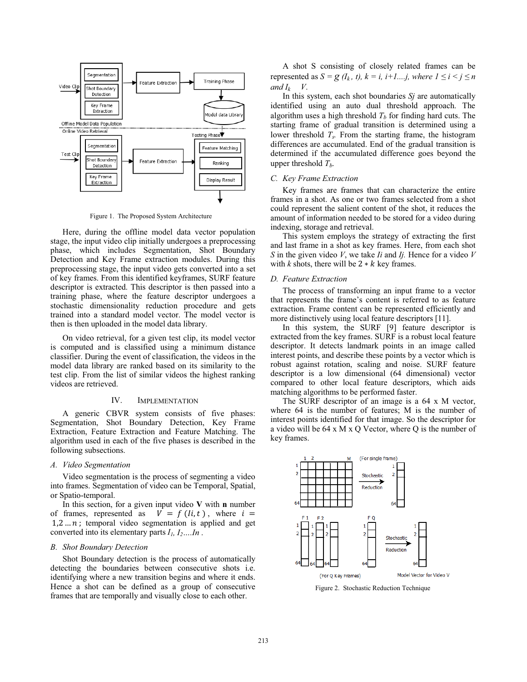

Figure 1. The Proposed System Architecture

Here, during the offline model data vector population stage, the input video clip initially undergoes a preprocessing phase, which includes Segmentation, Shot Boundary Detection and Key Frame extraction modules. During this preprocessing stage, the input video gets converted into a set of key frames. From this identified keyframes, SURF feature descriptor is extracted. This descriptor is then passed into a training phase, where the feature descriptor undergoes a stochastic dimensionality reduction procedure and gets trained into a standard model vector. The model vector is then is then uploaded in the model data library.

On video retrieval, for a given test clip, its model vector is computed and is classified using a minimum distance classifier. During the event of classification, the videos in the model data library are ranked based on its similarity to the test clip. From the list of similar videos the highest ranking videos are retrieved.

#### IV. IMPLEMENTATION

A generic CBVR system consists of five phases: Segmentation, Shot Boundary Detection, Key Frame Extraction, Feature Extraction and Feature Matching. The algorithm used in each of the five phases is described in the following subsections.

#### *A. Video Segmentation*

Video segmentation is the process of segmenting a video into frames. Segmentation of video can be Temporal, Spatial, or Spatio-temporal.

In this section, for a given input video **V** with **n** number of frames, represented as  $\vec{V} = f(i, t)$ , where  $i =$  $1, 2, \ldots n$ ; temporal video segmentation is applied and get converted into its elementary parts *I1, I2….In* .

#### *B. Shot Boundary Detection*

Shot Boundary detection is the process of automatically detecting the boundaries between consecutive shots i.e. identifying where a new transition begins and where it ends. Hence a shot can be defined as a group of consecutive frames that are temporally and visually close to each other.

A shot S consisting of closely related frames can be represented as  $S = g$  ( $I_k$ , t),  $k = i$ ,  $i+1...j$ , where  $1 \le i \le j \le n$ *and*  $I_k$  *V*.

In this system, each shot boundaries *Sj* are automatically identified using an auto dual threshold approach. The algorithm uses a high threshold  $T<sub>b</sub>$  for finding hard cuts. The starting frame of gradual transition is determined using a lower threshold *Ts.* From the starting frame, the histogram differences are accumulated. End of the gradual transition is determined if the accumulated difference goes beyond the upper threshold  $T<sub>b</sub>$ .

#### *C. Key Frame Extraction*

Key frames are frames that can characterize the entire frames in a shot. As one or two frames selected from a shot could represent the salient content of the shot, it reduces the amount of information needed to be stored for a video during indexing, storage and retrieval.

This system employs the strategy of extracting the first and last frame in a shot as key frames. Here, from each shot *S* in the given video *V*, we take *Ii* and *Ij.* Hence for a video *V* with  $k$  shots, there will be  $2 * k$  key frames.

#### *D. Feature Extraction*

The process of transforming an input frame to a vector that represents the frame's content is referred to as feature extraction. Frame content can be represented efficiently and more distinctively using local feature descriptors [11].

In this system, the SURF [9] feature descriptor is extracted from the key frames. SURF is a robust local feature descriptor. It detects landmark points in an image called interest points, and describe these points by a vector which is robust against rotation, scaling and noise. SURF feature descriptor is a low dimensional (64 dimensional) vector compared to other local feature descriptors, which aids matching algorithms to be performed faster.

The SURF descriptor of an image is a 64 x M vector, where 64 is the number of features; M is the number of interest points identified for that image. So the descriptor for a video will be 64 x M x Q Vector, where Q is the number of key frames.



Figure 2. Stochastic Reduction Technique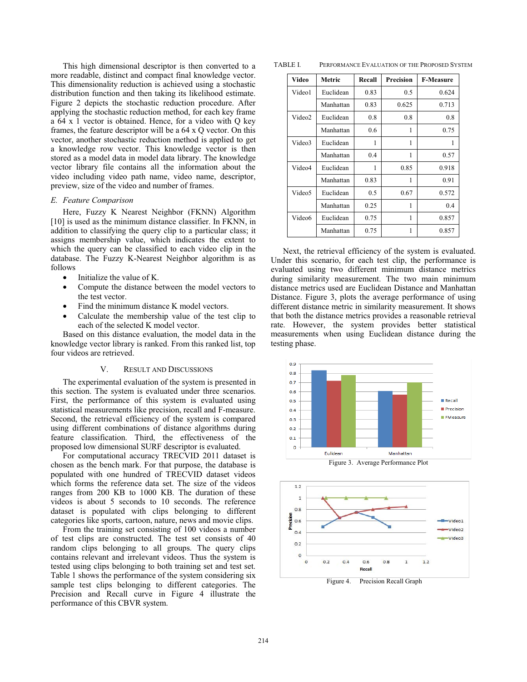This high dimensional descriptor is then converted to a more readable, distinct and compact final knowledge vector. This dimensionality reduction is achieved using a stochastic distribution function and then taking its likelihood estimate. Figure 2 depicts the stochastic reduction procedure. After applying the stochastic reduction method, for each key frame a 64 x 1 vector is obtained. Hence, for a video with Q key frames, the feature descriptor will be a 64 x Q vector. On this vector, another stochastic reduction method is applied to get a knowledge row vector. This knowledge vector is then stored as a model data in model data library. The knowledge vector library file contains all the information about the video including video path name, video name, descriptor, preview, size of the video and number of frames.

#### *E. Feature Comparison*

Here, Fuzzy K Nearest Neighbor (FKNN) Algorithm [10] is used as the minimum distance classifier. In FKNN, in addition to classifying the query clip to a particular class; it assigns membership value, which indicates the extent to which the query can be classified to each video clip in the database. The Fuzzy K-Nearest Neighbor algorithm is as follows

- Initialize the value of K.
- Compute the distance between the model vectors to the test vector.
- Find the minimum distance K model vectors.
- Calculate the membership value of the test clip to each of the selected K model vector.

Based on this distance evaluation, the model data in the knowledge vector library is ranked. From this ranked list, top four videos are retrieved.

#### V. RESULT AND DISCUSSIONS

The experimental evaluation of the system is presented in this section. The system is evaluated under three scenarios. First, the performance of this system is evaluated using statistical measurements like precision, recall and F-measure. Second, the retrieval efficiency of the system is compared using different combinations of distance algorithms during feature classification. Third, the effectiveness of the proposed low dimensional SURF descriptor is evaluated.

For computational accuracy TRECVID 2011 dataset is chosen as the bench mark. For that purpose, the database is populated with one hundred of TRECVID dataset videos which forms the reference data set. The size of the videos ranges from 200 KB to 1000 KB. The duration of these videos is about 5 seconds to 10 seconds. The reference dataset is populated with clips belonging to different categories like sports, cartoon, nature, news and movie clips.

From the training set consisting of 100 videos a number of test clips are constructed. The test set consists of 40 random clips belonging to all groups. The query clips contains relevant and irrelevant videos. Thus the system is tested using clips belonging to both training set and test set. Table 1 shows the performance of the system considering six sample test clips belonging to different categories. The Precision and Recall curve in Figure 4 illustrate the performance of this CBVR system.

TABLE I. PERFORMANCE EVALUATION OF THE PROPOSED SYSTEM

| Video              | Metric    | Recall | Precision | <b>F-Measure</b> |
|--------------------|-----------|--------|-----------|------------------|
| Video1             | Euclidean | 0.83   | 0.5       | 0.624            |
|                    | Manhattan | 0.83   | 0.625     | 0.713            |
| Video2             | Euclidean | 0.8    | 0.8       | 0.8              |
|                    | Manhattan | 0.6    | 1         | 0.75             |
| Video3             | Euclidean | 1      | 1         | 1                |
|                    | Manhattan | 0.4    | 1         | 0.57             |
| Video4             | Euclidean | 1      | 0.85      | 0.918            |
|                    | Manhattan | 0.83   | 1         | 0.91             |
| Video5             | Euclidean | 0.5    | 0.67      | 0.572            |
|                    | Manhattan | 0.25   | 1         | 0.4              |
| Video <sub>6</sub> | Euclidean | 0.75   | 1         | 0.857            |
|                    | Manhattan | 0.75   | 1         | 0.857            |

Next, the retrieval efficiency of the system is evaluated. Under this scenario, for each test clip, the performance is evaluated using two different minimum distance metrics during similarity measurement. The two main minimum distance metrics used are Euclidean Distance and Manhattan Distance. Figure 3, plots the average performance of using different distance metric in similarity measurement. It shows that both the distance metrics provides a reasonable retrieval rate. However, the system provides better statistical measurements when using Euclidean distance during the testing phase.



Figure 3. Average Performance Plot